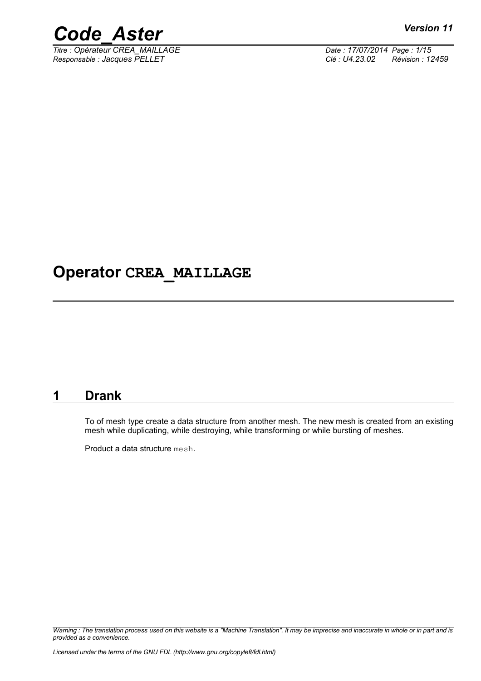

*Titre : Opérateur CREA\_MAILLAGE Date : 17/07/2014 Page : 1/15 Responsable : Jacques PELLET Clé : U4.23.02 Révision : 12459*

# **Operator CREA\_MAILLAGE**

# **1 Drank**

To of mesh type create a data structure from another mesh. The new mesh is created from an existing mesh while duplicating, while destroying, while transforming or while bursting of meshes.

Product a data structure mesh.

*Warning : The translation process used on this website is a "Machine Translation". It may be imprecise and inaccurate in whole or in part and is provided as a convenience.*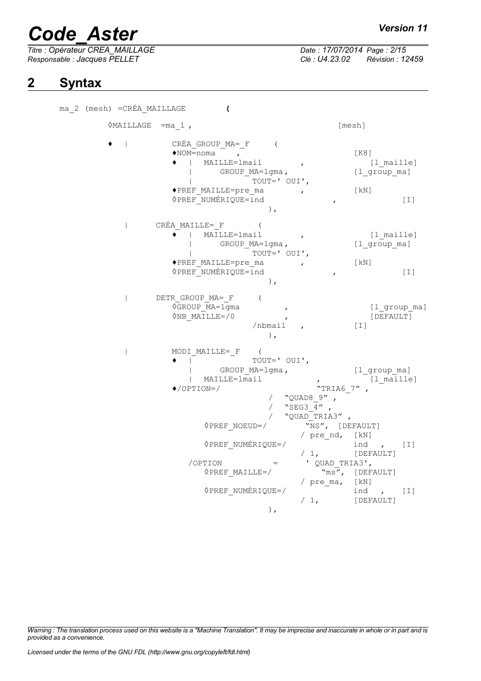*Responsable : Jacques PELLET Clé : U4.23.02 Révision : 12459*

# *Titre : Opérateur CREA\_MAILLAGE Date : 17/07/2014 Page : 2/15*

# **2 Syntax**

ma\_2 (mesh) =CRÉA\_MAILLAGE **(** ◊MAILLAGE =ma\_1 , [mesh] ◆ | CRÉA\_GROUP\_MA=\_F (<br>◆NOM=noma ,  $\bigcirc$ NOM=noma ,  $[K8]$ ♦ | MAILLE=lmail , [l\_maille] | GROUP MA=lgma, [l group ma] | TOUT=' OUI',<br>FF MAILLE=pre ma ◆PREF\_MAILLE=pre\_ma , [kN] ◊PREF\_NUMÉRIQUE=ind , [I] ), | CRÉA\_MAILLE=\_F ( ♦ | MAILLE=lmail , [l\_maille] | GROUP MA=lgma, [l group ma] | TOUT=' OUI',<br>RET MAILLE=pre ma ◆PREF\_MAILLE=pre\_ma , (kN) <sup>1</sup>/<sub>PREF\_NUMÉRIQUE=ind , [I]</sub> ), | DETR\_GROUP\_MA=\_F (  $\overline{O}$ GROUP  $\overline{MA}$ =lgma , [l group ma]  $\Diamond$ NB MAILLE=/0 , [DEFAULT] /nbmail , [I] ), | MODI\_MAILLE=\_F ( ♦ | TOUT=' OUI', | GROUP MA=lgma, [l group ma] | MAILLE=lmail , [l\_maille]  $\leftrightarrow$ /OPTION=/ / "QUAD8\_9" ,  $"SEG3$ <sup> $4"$ </sup> "QUAD\_TRIA3"  $\sqrt{N}$ PREF NOEUD=/  $\sqrt{N}$ S", [DEFAULT] / pre nd, [kN] ◊PREF\_NUMÉRIQUE=/ ind , [I] / 1, [DEFAULT] /OPTION = ' QUAD\_TRIA3',<br>  $\Diamond$ PREF MAILLE=/ "ms", [DEF  $\sqrt{ms''}$ , [DEFAULT] / pre\_ma, [kN]  $\sqrt{PREF_NUMÉRIQUE=}/$  ind , [I]<br>  $\sqrt{1}$  [DEFAULT] [DEFAULT] ),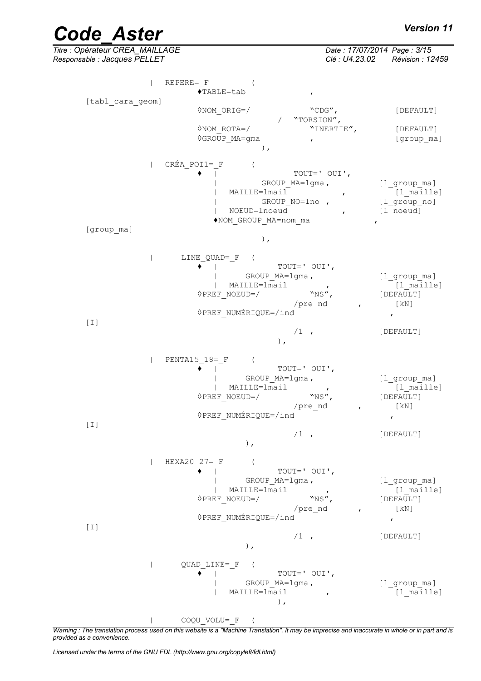| <b>Code Aster</b>                                                                                                                               | Version 11                                                                                                                                                 |
|-------------------------------------------------------------------------------------------------------------------------------------------------|------------------------------------------------------------------------------------------------------------------------------------------------------------|
| Titre : Opérateur CREA_MAILLAGE<br>Responsable : Jacques PELLET                                                                                 | Date: 17/07/2014 Page: 3/15<br>Clé : U4.23.02<br>Révision : 12459                                                                                          |
| $REPERE = F$<br>$\blacklozenge$ TABLE=tab<br>$\pmb{r}$                                                                                          |                                                                                                                                                            |
| [tabl cara geom]<br>$\Diamond$ NOM ORIG=/<br>"TORSION",                                                                                         | $"$ CDG",<br>[DEFAULT]                                                                                                                                     |
| $\Diamond$ NOM ROTA=/<br><b>◊GROUP MA=gma</b><br>$\mathbf{r}$<br>$)$ ,                                                                          | "INERTIE",<br>[DEFAULT]<br>[group ma]                                                                                                                      |
| CRÉA POI1= F                                                                                                                                    |                                                                                                                                                            |
| GROUP MA=lgma,<br>MAILLE=lmail<br>GROUP NO=lno,<br>NOEUD=lnoeud<br>◆NOM GROUP MA=nom ma                                                         | TOUT=' OUI',<br>$[1$ <sup>group<math>m</math>a]</sup><br>[l maille]<br>$\pmb{r}$<br>$[1$ <sup>oroup_no]</sup><br>[1 noeud]<br>$\mathbf{r}$<br>$\mathbf{r}$ |
| [group ma]<br>),                                                                                                                                |                                                                                                                                                            |
| LINE QUAD= F<br>$\left($<br>TOUT=' OUI',<br>GROUP MA=lgma,<br>MAILLE=lmail<br>$\Diamond$ PREF NOEUD=/<br>/pre nd<br>◊PREF NUMÉRIQUE=/ind<br>[I] | $[1$ <sup>group<math>m</math>a]</sup><br>[l maille]<br>$\mathbf{r}$<br>$"$ NS",<br>[DEFAULT]<br>[KN]<br>$\mathbf{r}$                                       |
| $/1$ ,<br>$)$ ,                                                                                                                                 | [DEFAULT]                                                                                                                                                  |
| PENTA15 $18 = F$<br>TOUT=' OUI',<br>GROUP MA=lgma,<br>$\overline{A}$ MAILLE=1mail ,<br><b>OPREF NOEUD=/</b><br>/pre nd<br>◊PREF NUMÉRIQUE=/ind  | $[1$ <sup>group<math>m</math>a]</sup><br>$[1$ <sup><math>\overline{</math></sup> maille]<br>"NS",<br>[DEFAULT]<br>[ kN ]<br>$\mathbf{r}$<br>$\pmb{r}$      |
| $[1]$<br>$/1$ ,<br>$)$ ,                                                                                                                        | [DEFAULT]                                                                                                                                                  |
| $HEXA20 27 = F$<br>TOUT=' OUI',<br>GROUP MA=lgma,<br>MAILLE=lmail<br>"NS",<br>$\Diamond$ PREF NOEUD=/<br>/pre nd<br>◊PREF NUMÉRIQUE=/ind        | [1_group_ma]<br>$[1$ <sup>maille</sup> ]<br>$\mathcal{L}$<br>[DEFAULT]<br>[ kN ]<br>$\mathbf{r}$<br>$\boldsymbol{r}$                                       |
| $/1$ ,<br>$)$ ,                                                                                                                                 | [DEFAULT]                                                                                                                                                  |
| QUAD LINE= F (<br>TOUT=' OUI',<br>GROUP MA=lgma,<br>MAILLE=lmail<br>$\mathcal{L}$<br>$)$ ,                                                      | [l_group_ma]<br>[1 maille]                                                                                                                                 |

| COQU\_VOLU=\_F (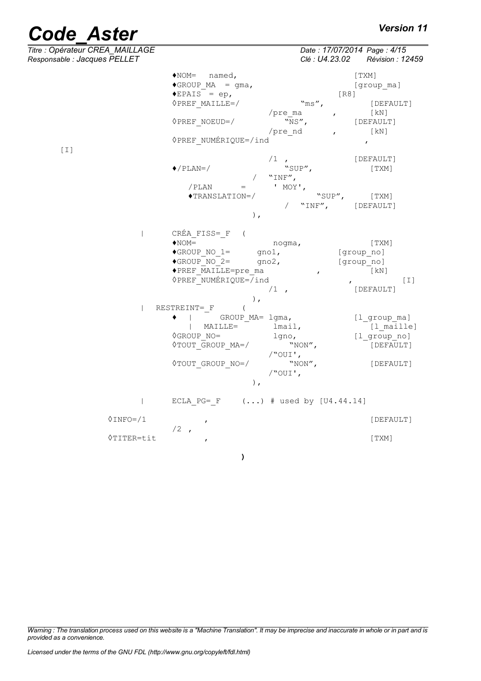| Titre : Opérateur CREA_MAILLAGE<br>Responsable : Jacques PELLET |                                                                                                                                                                                                             | Date: 17/07/2014 Page: 4/15<br>Clé : U4.23.02 Révision : 12459                                                                                 |
|-----------------------------------------------------------------|-------------------------------------------------------------------------------------------------------------------------------------------------------------------------------------------------------------|------------------------------------------------------------------------------------------------------------------------------------------------|
|                                                                 | $\triangle$ NOM= named,<br>$\triangle GROUP MA = gma,$<br>$\triangle$ EPAIS = ep,<br>$\Diamond$ PREF MAILLE=/<br>/pre ma<br><b>OPREF NOEUD=/</b><br>/pre nd<br>◊PREF NUMÉRIQUE=/ind                         | [TXM]<br>[group ma]<br>[R8]<br>$"ms"$ ,<br>[DEFAULT]<br>[ kN ]<br>$\mathbf{r}$<br>"NS",<br>[DEFAULT]<br>[ kN ]<br>$\mathbf{r}$<br>$\mathbf{r}$ |
| $[1]$                                                           | $/1$ ,<br>$\blacklozenge$ /PLAN=/<br>$"INF"$ ,<br>/ PLAN<br>' MOY',<br>$=$<br>$\blacklozenge$ TRANSLATION=/<br>$)$ ,                                                                                        | [DEFAULT]<br>"SUP",<br>[ TXM ]<br>"SUP",<br>[ TXM ]<br>"INF", [DEFAULT]                                                                        |
| $\overline{\phantom{a}}$                                        | CRÉA FISS= F (<br>$\bigstar$ NOM=<br>nogma,<br>$\blacklozenge$ GROUP NO 1=<br>$qno1$ ,<br>$\blacklozenge$ GROUP NO 2=<br>$qno2$ ,<br>◆PREF MAILLE=pre ma<br><b>◊PREF NUMÉRIQUE=/ind</b><br>$/1$ ,<br>$\,$ , | [TXM]<br>[group no]<br>[group no]<br>$\lceil kN \rceil$<br>$\mathbf{r}$<br>$[1]$<br>$\mathbf{r}$<br>[DEFAULT]                                  |
| $\perp$                                                         | RESTREINT= F<br>$\left($<br>GROUP MA= lgma,<br>MAILLE=<br>lmail,<br>$\mathbf{L}$<br><b>OGROUP NO=</b><br>lgno,<br><b>OTOUT GROUP MA=/</b><br>$/$ "OUI',<br><b>OTOUT GROUP NO=/</b><br>$/$ "OUI',<br>),      | [l group ma]<br>[l maille]<br>[1 group_no]<br>"NON",<br>[DEFAULT]<br>$``NON''$ ,<br>[DEFAULT]                                                  |
| $\mathbf{L}$                                                    | ECLA PG= F $()$ # used by $[U4.44.14]$                                                                                                                                                                      |                                                                                                                                                |
| $\Diamond$ INFO=/1                                              | $\pmb{r}$<br>$/2$ ,                                                                                                                                                                                         | [DEFAULT]                                                                                                                                      |
| 0TITER=tit                                                      | $\pmb{r}$                                                                                                                                                                                                   | [TXM]                                                                                                                                          |

**)**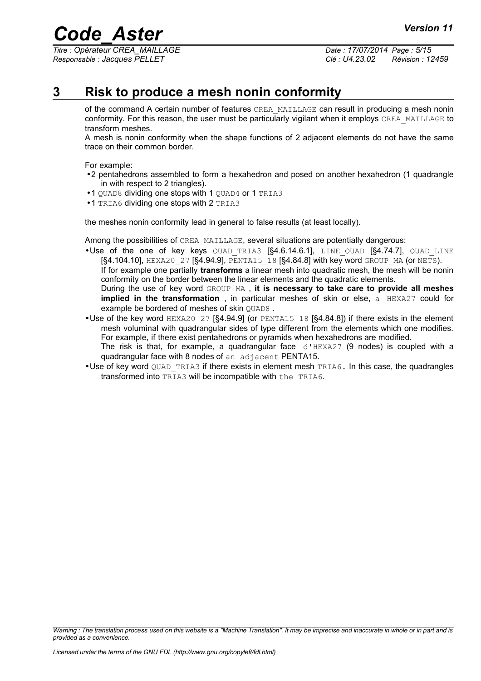*Titre : Opérateur CREA\_MAILLAGE Date : 17/07/2014 Page : 5/15 Responsable : Jacques PELLET Clé : U4.23.02 Révision : 12459*

# **3 Risk to produce a mesh nonin conformity**

<span id="page-4-0"></span>of the command A certain number of features CREA\_MAILLAGE can result in producing a mesh nonin conformity. For this reason, the user must be particularly vigilant when it employs CREA\_MAILLAGE to transform meshes.

A mesh is nonin conformity when the shape functions of 2 adjacent elements do not have the same trace on their common border.

For example:

- •2 pentahedrons assembled to form a hexahedron and posed on another hexahedron (1 quadrangle in with respect to 2 triangles).
- •1 QUAD8 dividing one stops with 1 QUAD4 or 1 TRIA3
- •1 TRIA6 dividing one stops with 2 TRIA3

the meshes nonin conformity lead in general to false results (at least locally).

Among the possibilities of CREA\_MAILLAGE, several situations are potentially dangerous:

- •Use of the one of key keys QUAD TRIA3 [§4.6.[14.6.1\]](#page-6-0), LINE QUAD [§4.[74.7\]](#page-7-0), QUAD LINE  $[§4.104.10]$  $[§4.104.10]$ , HEXA20\_27  $[§4.94.9]$  $[§4.94.9]$ , PENTA15\_18  $[§4.84.8]$  $[§4.84.8]$  with key word GROUP\_MA (or NETS). If for example one partially **transforms** a linear mesh into quadratic mesh, the mesh will be nonin conformity on the border between the linear elements and the quadratic elements. During the use of key word GROUP\_MA , **it is necessary to take care to provide all meshes implied in the transformation**, in particular meshes of skin or else, a HEXA27 could for example be bordered of meshes of skin OUAD8.
- Use of the key word HEXA20\_27 [§4.[94.9\]](#page-8-1) (or PENTA15\_18 [§4.[84.8\]](#page-8-0)) if there exists in the element mesh voluminal with quadrangular sides of type different from the elements which one modifies. For example, if there exist pentahedrons or pyramids when hexahedrons are modified. The risk is that, for example, a quadrangular face  $d'HEXAZ7$  (9 nodes) is coupled with a quadrangular face with 8 nodes of an adjacent PENTA15.
- Use of key word QUAD TRIA3 if there exists in element mesh TRIA6. In this case, the quadrangles transformed into  $\overline{T}$ RIA3 will be incompatible with the TRIA6.

*Warning : The translation process used on this website is a "Machine Translation". It may be imprecise and inaccurate in whole or in part and is provided as a convenience.*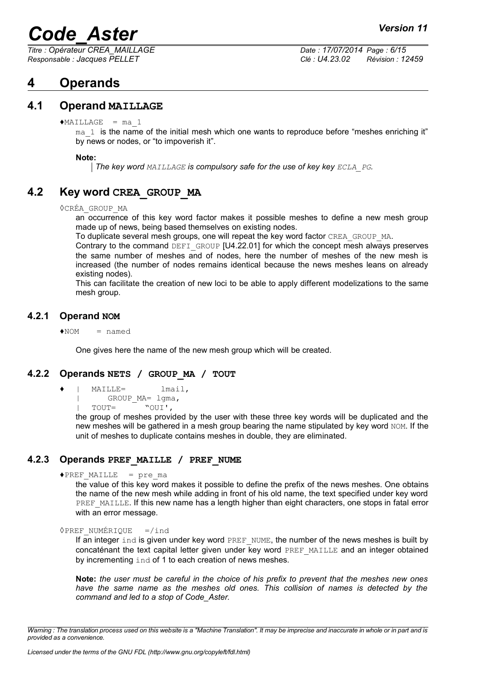*Titre : Opérateur CREA\_MAILLAGE Date : 17/07/2014 Page : 6/15 Responsable : Jacques PELLET Clé : U4.23.02 Révision : 12459*

# **4 Operands**

# **4.1 Operand MAILLAGE**

 $MAILLAGE = ma 1$ 

 $ma<sub>1</sub>$  is the name of the initial mesh which one wants to reproduce before "meshes enriching it" by news or nodes, or "to impoverish it".

**Note:**

*The key word MAILLAGE is compulsory safe for the use of key key ECLA\_PG.*

# **4.2 Key word CREA\_GROUP\_MA**

<span id="page-5-0"></span>◊CRÉA\_GROUP\_MA

an occurrence of this key word factor makes it possible meshes to define a new mesh group made up of news, being based themselves on existing nodes.

To duplicate several mesh groups, one will repeat the key word factor CREA\_GROUP\_MA.

Contrary to the command DEFI\_GROUP [U4.22.01] for which the concept mesh always preserves the same number of meshes and of nodes, here the number of meshes of the new mesh is increased (the number of nodes remains identical because the news meshes leans on already existing nodes).

This can facilitate the creation of new loci to be able to apply different modelizations to the same mesh group.

### **4.2.1 Operand NOM**

 $NOM$  = named

One gives here the name of the new mesh group which will be created.

### **4.2.2 Operands NETS / GROUP\_MA / TOUT**

- ♦ | MAILLE= lmail,
	- | GROUP\_MA= lgma,

| TOUT= "OUI',

the group of meshes provided by the user with these three key words will be duplicated and the new meshes will be gathered in a mesh group bearing the name stipulated by key word NOM. If the unit of meshes to duplicate contains meshes in double, they are eliminated.

### **4.2.3 Operands PREF\_MAILLE / PREF\_NUME**

```
\trianglePREF MAILLE = pre ma
```
the value of this key word makes it possible to define the prefix of the news meshes. One obtains the name of the new mesh while adding in front of his old name, the text specified under key word PREF\_MAILLE. If this new name has a length higher than eight characters, one stops in fatal error with an error message.

```
\DiamondPREF_NUMÉRIQUE =/ind
```
If an integer  $ind$  is given under key word PREF\_NUME, the number of the news meshes is built by concaténant the text capital letter given under key word PREF\_MAILLE and an integer obtained by incrementing ind of 1 to each creation of news meshes.

**Note:** *the user must be careful in the choice of his prefix to prevent that the meshes new ones have the same name as the meshes old ones. This collision of names is detected by the command and led to a stop of Code\_Aster.*

*Warning : The translation process used on this website is a "Machine Translation". It may be imprecise and inaccurate in whole or in part and is provided as a convenience.*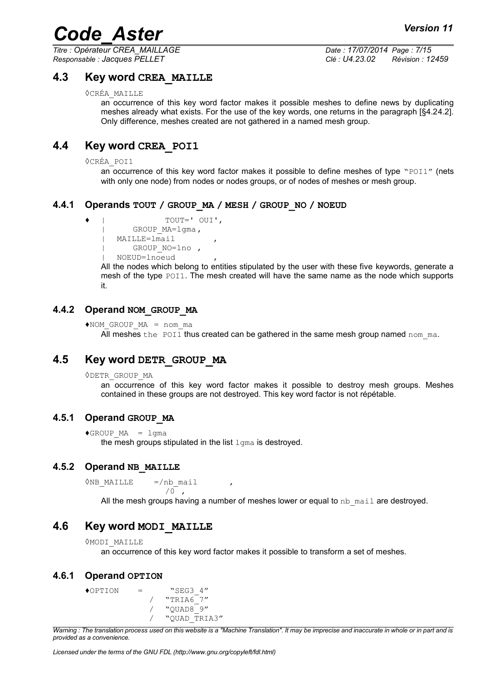*Titre : Opérateur CREA\_MAILLAGE Date : 17/07/2014 Page : 7/15 Responsable : Jacques PELLET Clé : U4.23.02 Révision : 12459*

### **4.3 Key word CREA\_MAILLE**

◊CRÉA\_MAILLE

an occurrence of this key word factor makes it possible meshes to define news by duplicating meshes already what exists. For the use of the key words, one returns in the paragraph [§4.[24.2\]](#page-5-0). Only difference, meshes created are not gathered in a named mesh group.

# **4.4 Key word CREA\_POI1**

◊CRÉA\_POI1

an occurrence of this key word factor makes it possible to define meshes of type "POI1" (nets with only one node) from nodes or nodes groups, or of nodes of meshes or mesh group.

### **4.4.1 Operands TOUT / GROUP\_MA / MESH / GROUP\_NO / NOEUD**

```
♦ | TOUT=' OUI',
       | GROUP_MA=lgma,
| MAILLE=lmail ,
       GROUP NO=lno ,
```
| NOEUD=lnoeud ,

All the nodes which belong to entities stipulated by the user with these five keywords, generate a mesh of the type  $POII$ . The mesh created will have the same name as the node which supports it.

### **4.4.2 Operand NOM\_GROUP\_MA**

```
*NOM GROUP MA = nom ma
```
All meshes the POI1 thus created can be gathered in the same mesh group named nom  $ma$ .

# **4.5 Key word DETR\_GROUP\_MA**

◊DETR\_GROUP\_MA

an occurrence of this key word factor makes it possible to destroy mesh groups. Meshes contained in these groups are not destroyed. This key word factor is not répétable.

### **4.5.1 Operand GROUP\_MA**

 $\triangle GROUPMA = 1$ gma

the mesh groups stipulated in the list  $l<sub>ama</sub>$  is destroyed.

### **4.5.2 Operand NB\_MAILLE**

 $\Diamond$ NB MAILLE =/nb mail  $/0$ ,

All the mesh groups having a number of meshes lower or equal to  $nb$  mail are destroyed.

### **4.6 Key word MODI\_MAILLE**

```
◊MODI_MAILLE
```
an occurrence of this key word factor makes it possible to transform a set of meshes.

#### **4.6.1 Operand OPTION**

```
\triangleOPTION = "SEG3 4"
                / "TRIA67"\frac{1}{2} "OUAD8\frac{1}{9}"
                / "QUAD_TRIA3"
```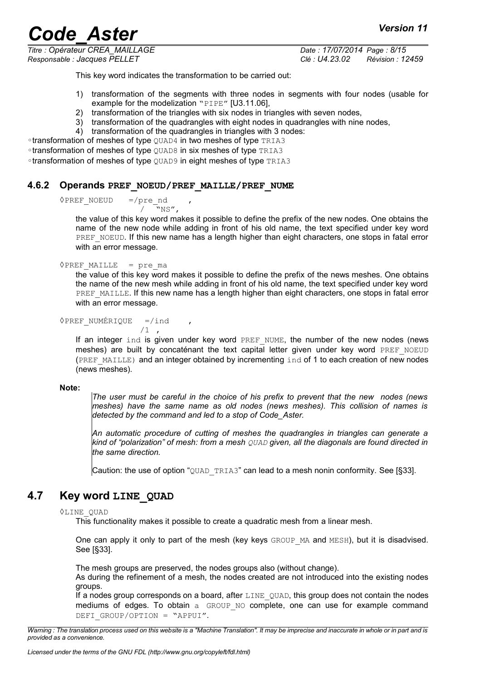This key word indicates the transformation to be carried out:

- 1) transformation of the segments with three nodes in segments with four nodes (usable for example for the modelization "PIPE" [U3.11.06],
- 2) transformation of the triangles with six nodes in triangles with seven nodes,
- 3) transformation of the quadrangles with eight nodes in quadrangles with nine nodes,
- 4) transformation of the quadrangles in triangles with 3 nodes:

◦transformation of meshes of type QUAD4 in two meshes of type TRIA3 ◦transformation of meshes of type QUAD8 in six meshes of type TRIA3

◦transformation of meshes of type QUAD9 in eight meshes of type TRIA3

#### **4.6.2 Operands PREF\_NOEUD/PREF\_MAILLE/PREF\_NUME**

 $\Diamond$ PREF\_NOEUD =/pre\_nd

 $\sqrt{N}$ NS",

the value of this key word makes it possible to define the prefix of the new nodes. One obtains the name of the new node while adding in front of his old name, the text specified under key word PREF\_NOEUD. If this new name has a length higher than eight characters, one stops in fatal error with an error message.

#### $\rho$ PREF MAILLE = pre ma

the value of this key word makes it possible to define the prefix of the news meshes. One obtains the name of the new mesh while adding in front of his old name, the text specified under key word PREF\_MAILLE. If this new name has a length higher than eight characters, one stops in fatal error with an error message.

 $\Diamond$ PREF NUMÉRIQUE =/ind

$$
/1 \quad ,
$$

If an integer ind is given under key word PREF\_NUME, the number of the new nodes (news meshes) are built by concaténant the text capital letter given under key word PREF\_NOEUD (PREF\_MAILLE) and an integer obtained by incrementing ind of 1 to each creation of new nodes (news meshes).

#### **Note:**

*The user must be careful in the choice of his prefix to prevent that the new nodes (news meshes) have the same name as old nodes (news meshes). This collision of names is detected by the command and led to a stop of Code\_Aster.*

*An automatic procedure of cutting of meshes the quadrangles in triangles can generate a kind of "polarization" of mesh: from a mesh QUAD given, all the diagonals are found directed in the same direction.*

Caution: the use of option "QUAD\_TRIA3" can lead to a mesh nonin conformity. See [§[33\]](#page-4-0).

# **4.7 Key word LINE\_QUAD**

#### <span id="page-7-0"></span>◊LINE\_QUAD

This functionality makes it possible to create a quadratic mesh from a linear mesh.

One can apply it only to part of the mesh (key keys GROUP MA and MESH), but it is disadvised. See [§[33\]](#page-4-0).

The mesh groups are preserved, the nodes groups also (without change).

As during the refinement of a mesh, the nodes created are not introduced into the existing nodes groups.

If a nodes group corresponds on a board, after LINE QUAD, this group does not contain the nodes mediums of edges. To obtain a GROUP NO complete, one can use for example command DEFI\_GROUP/OPTION = "APPUI".

*Warning : The translation process used on this website is a "Machine Translation". It may be imprecise and inaccurate in whole or in part and is provided as a convenience.*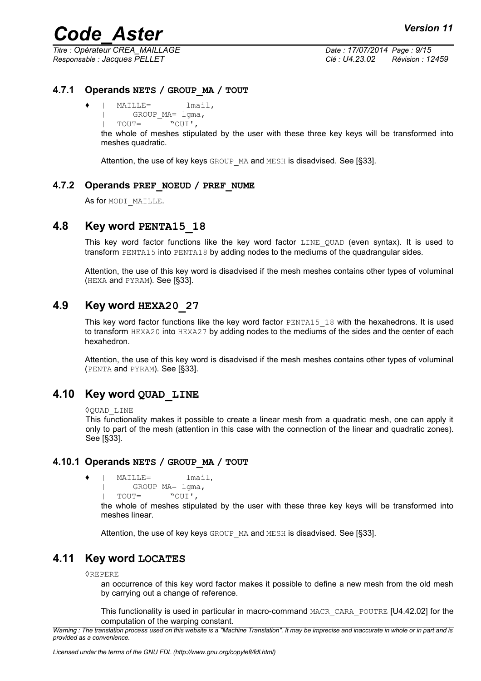*Responsable : Jacques PELLET Clé : U4.23.02 Révision : 12459*

*Titre : Opérateur CREA\_MAILLAGE Date : 17/07/2014 Page : 9/15*

## **4.7.1 Operands NETS / GROUP\_MA / TOUT**

♦ | MAILLE= lmail, GROUP MA= lgma,  $\frac{1}{1}$  TOUT=  $\frac{1}{100}$ 

the whole of meshes stipulated by the user with these three key keys will be transformed into meshes quadratic.

Attention, the use of key keys GROUP MA and MESH is disadvised. See [§[33\]](#page-4-0).

### **4.7.2 Operands PREF\_NOEUD / PREF\_NUME**

As for MODI MAILLE.

# **4.8 Key word PENTA15\_18**

<span id="page-8-0"></span>This key word factor functions like the key word factor LINE QUAD (even syntax). It is used to transform PENTA15 into PENTA18 by adding nodes to the mediums of the quadrangular sides.

Attention, the use of this key word is disadvised if the mesh meshes contains other types of voluminal (HEXA and PYRAM). See [§[33\]](#page-4-0).

# **4.9 Key word HEXA20\_27**

<span id="page-8-1"></span>This key word factor functions like the key word factor  $PENTA15-18$  with the hexahedrons. It is used to transform HEXA20 into HEXA27 by adding nodes to the mediums of the sides and the center of each hexahedron.

Attention, the use of this key word is disadvised if the mesh meshes contains other types of voluminal (PENTA and PYRAM). See [§[33\]](#page-4-0).

# **4.10 Key word QUAD\_LINE**

<span id="page-8-2"></span>◊QUAD\_LINE

This functionality makes it possible to create a linear mesh from a quadratic mesh, one can apply it only to part of the mesh (attention in this case with the connection of the linear and quadratic zones). See [§[33\]](#page-4-0).

### **4.10.1 Operands NETS / GROUP\_MA / TOUT**

```
♦ | MAILLE= lmail,
        GROUP MA= lgma,
```
| TOUT= "OUI',

the whole of meshes stipulated by the user with these three key keys will be transformed into meshes linear.

Attention, the use of key keys GROUP MA and MESH is disadvised. See [§[33\]](#page-4-0).

# **4.11 Key word LOCATES**

◊REPERE

an occurrence of this key word factor makes it possible to define a new mesh from the old mesh by carrying out a change of reference.

This functionality is used in particular in macro-command MACR\_CARA\_POUTRE [U4.42.02] for the computation of the warping constant.

*Warning : The translation process used on this website is a "Machine Translation". It may be imprecise and inaccurate in whole or in part and is provided as a convenience.*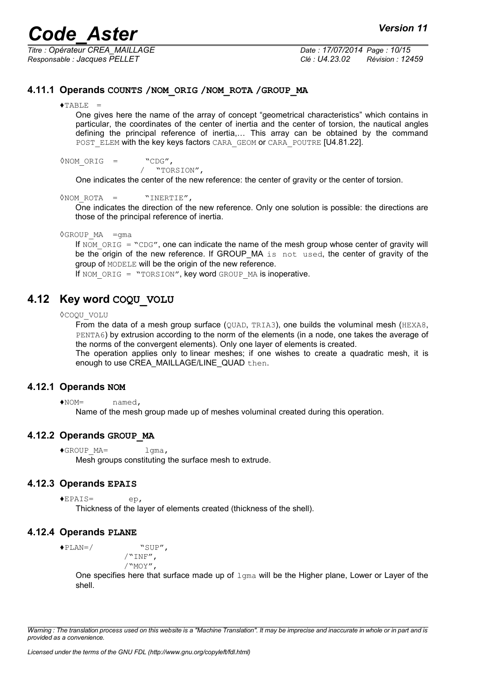*Titre : Opérateur CREA\_MAILLAGE Date : 17/07/2014 Page : 10/15 Responsable : Jacques PELLET Clé : U4.23.02 Révision : 12459*

### **4.11.1 Operands COUNTS /NOM\_ORIG /NOM\_ROTA /GROUP\_MA**

#### $\triangle$ TABLE =

One gives here the name of the array of concept "geometrical characteristics" which contains in particular, the coordinates of the center of inertia and the center of torsion, the nautical angles defining the principal reference of inertia,… This array can be obtained by the command POST ELEM with the key keys factors CARA\_GEOM or CARA\_POUTRE [U4.81.22].

◊NOM\_ORIG = "CDG",

/ "TORSION",

One indicates the center of the new reference: the center of gravity or the center of torsion.

◊NOM\_ROTA = "INERTIE",

One indicates the direction of the new reference. Only one solution is possible: the directions are those of the principal reference of inertia.

#### $\Diamond$ GROUP MA =qma

If NOM ORIG = "CDG", one can indicate the name of the mesh group whose center of gravity will be the origin of the new reference. If GROUP\_MA is not used, the center of gravity of the group of MODELE will be the origin of the new reference.

If NOM ORIG = "TORSION", key word GROUP MA is inoperative.

# **4.12 Key word COQU\_VOLU**

◊COQU\_VOLU

From the data of a mesh group surface (OUAD, TRIA3), one builds the voluminal mesh (HEXA8, PENTA6) by extrusion according to the norm of the elements (in a node, one takes the average of the norms of the convergent elements). Only one layer of elements is created.

The operation applies only to linear meshes; if one wishes to create a quadratic mesh, it is enough to use CREA\_MAILLAGE/LINE\_QUAD then.

### **4.12.1 Operands NOM**

♦NOM= named,

Name of the mesh group made up of meshes voluminal created during this operation.

#### **4.12.2 Operands GROUP\_MA**

♦GROUP\_MA= lgma, Mesh groups constituting the surface mesh to extrude.

#### **4.12.3 Operands EPAIS**

♦EPAIS= ep, Thickness of the layer of elements created (thickness of the shell).

### **4.12.4 Operands PLANE**

♦PLAN=/ "SUP",

 $/$ "INF", /"MOY",

One specifies here that surface made up of  $1$ gma will be the Higher plane, Lower or Layer of the shell.

*Warning : The translation process used on this website is a "Machine Translation". It may be imprecise and inaccurate in whole or in part and is provided as a convenience.*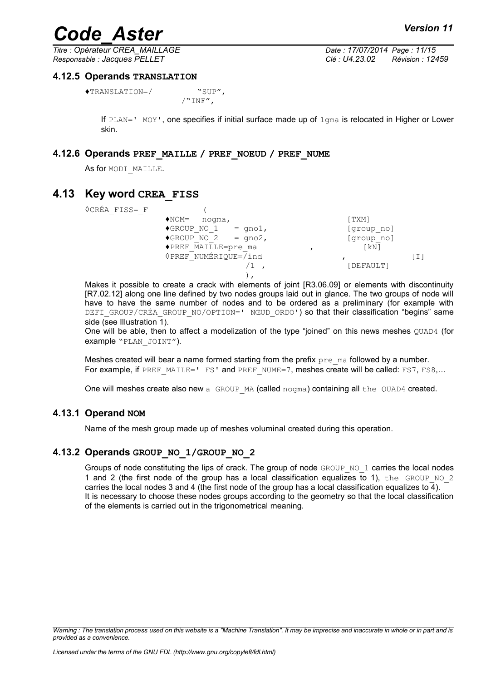*Responsable : Jacques PELLET Clé : U4.23.02 Révision : 12459*

*Titre : Opérateur CREA\_MAILLAGE Date : 17/07/2014 Page : 11/15*

#### **4.12.5 Operands TRANSLATION**

♦TRANSLATION=/ "SUP",

 $/$ "INF",

If  $PLAN = '$  MOY', one specifies if initial surface made up of  $1$ qma is relocated in Higher or Lower skin.

#### **4.12.6 Operands PREF\_MAILLE / PREF\_NOEUD / PREF\_NUME**

As for MODI MAILLE.

## **4.13 Key word CREA\_FISS**

◊CRÉA\_FISS=\_F (

| 11 1 1 N N |                                         |                    |  |
|------------|-----------------------------------------|--------------------|--|
|            | $\blacklozenge$ NOM=<br>noqma,          | [TXM]              |  |
|            | $\blacklozenge$ GROUP NO 1<br>$=$ qno1, | [group no]         |  |
|            | $\triangle GROUP NO 2 = qno2,$          | [group no]         |  |
|            | ◆PREF MAILLE=pre ma                     | $\lceil kN \rceil$ |  |
|            | <b>◊PREF NUMÉRIQUE=/ind</b>             |                    |  |
|            |                                         | [DEFAULT]          |  |
|            |                                         |                    |  |
|            |                                         |                    |  |

Makes it possible to create a crack with elements of joint [R3.06.09] or elements with discontinuity [R7.02.12] along one line defined by two nodes groups laid out in glance. The two groups of node will have to have the same number of nodes and to be ordered as a preliminary (for example with DEFI\_GROUP/CRÉA\_GROUP\_NO/OPTION=' NŒUD\_ORDO') so that their classification "begins" same side (see [Illustration 1\)](#page-11-0).

One will be able, then to affect a modelization of the type "joined" on this news meshes QUAD4 (for example "PLAN\_JOINT").

Meshes created will bear a name formed starting from the prefix  $pre$  ma followed by a number. For example, if PREF\_MAILE=' FS' and PREF\_NUME=7, meshes create will be called: FS7, FS8...

One will meshes create also new a GROUP MA (called nogma) containing all the QUAD4 created.

### **4.13.1 Operand NOM**

Name of the mesh group made up of meshes voluminal created during this operation.

### **4.13.2 Operands GROUP\_NO\_1/GROUP\_NO\_2**

Groups of node constituting the lips of crack. The group of node  $GROUP-NO-1$  carries the local nodes 1 and 2 (the first node of the group has a local classification equalizes to 1), the GROUP NO  $2$ carries the local nodes 3 and 4 (the first node of the group has a local classification equalizes to 4). It is necessary to choose these nodes groups according to the geometry so that the local classification of the elements is carried out in the trigonometrical meaning.

*Warning : The translation process used on this website is a "Machine Translation". It may be imprecise and inaccurate in whole or in part and is provided as a convenience.*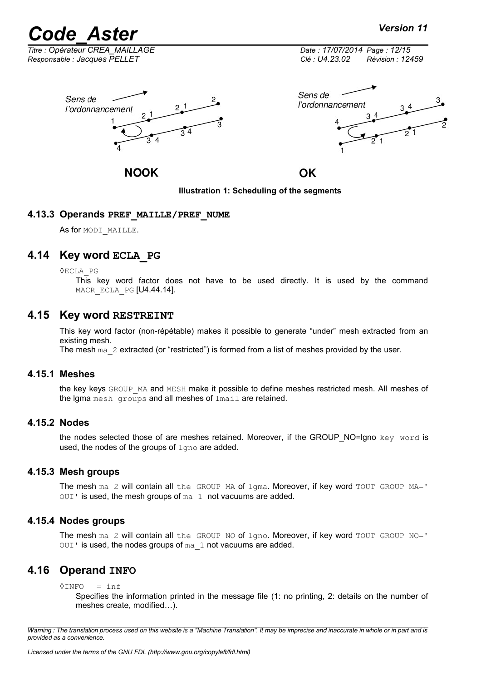*Titre : Opérateur CREA\_MAILLAGE Date : 17/07/2014 Page : 12/15 Responsable : Jacques PELLET Clé : U4.23.02 Révision : 12459*





## **NOOK**

OK

<span id="page-11-0"></span>**Illustration 1: Scheduling of the segments**

### **4.13.3 Operands PREF\_MAILLE/PREF\_NUME**

As for MODI MAILLE.

# **4.14 Key word ECLA\_PG**

◊ECLA\_PG

This key word factor does not have to be used directly. It is used by the command MACR ECLA PG [U4.44.14].

### **4.15 Key word RESTREINT**

This key word factor (non-répétable) makes it possible to generate "under" mesh extracted from an existing mesh.

The mesh ma\_2 extracted (or "restricted") is formed from a list of meshes provided by the user.

#### **4.15.1 Meshes**

the key keys GROUP MA and MESH make it possible to define meshes restricted mesh. All meshes of the lgma mesh groups and all meshes of lmail are retained.

### **4.15.2 Nodes**

the nodes selected those of are meshes retained. Moreover, if the GROUP\_NO=Igno key word is used, the nodes of the groups of  $l$  and are added.

### **4.15.3 Mesh groups**

The mesh ma\_2 will contain all the GROUP\_MA of lgma. Moreover, if key word TOUT\_GROUP\_MA=' OUI' is used, the mesh groups of ma\_1 not vacuums are added.

### **4.15.4 Nodes groups**

The mesh ma\_2 will contain all the GROUP\_NO of  $1qno$ . Moreover, if key word TOUT\_GROUP\_NO='  $OUT$  is used, the nodes groups of ma  $1$  not vacuums are added.

# **4.16 Operand INFO**

 $\Diamond$ INFO = inf

Specifies the information printed in the message file (1: no printing, 2: details on the number of meshes create, modified…).

*Warning : The translation process used on this website is a "Machine Translation". It may be imprecise and inaccurate in whole or in part and is provided as a convenience.*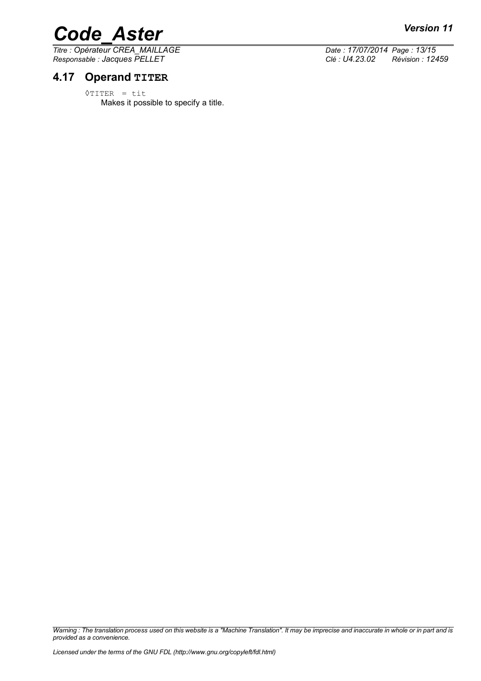# *Code\_Aster Version 11*<br> *Titre* : Opérateur CREA MAILLAGE Date : 17/07/2014 Page : 13/15

*Titre : Opérateur CREA\_MAILLAGE Date : 17/07/2014 Page : 13/15*

# **4.17 Operand TITER**

◊TITER = tit Makes it possible to specify a title.

*Responsable : Jacques PELLET Clé : U4.23.02 Révision : 12459*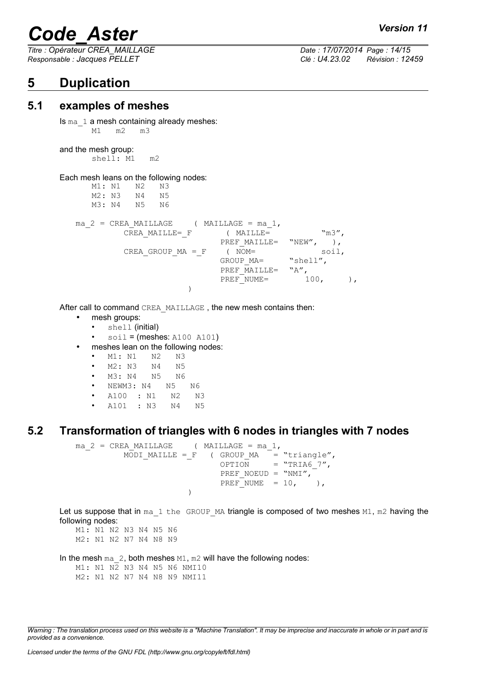*Responsable : Jacques PELLET Clé : U4.23.02 Révision : 12459*

# **5 Duplication**

*Titre : Opérateur CREA\_MAILLAGE Date : 17/07/2014 Page : 14/15*

# **5.1 examples of meshes**

Is ma 1 a mesh containing already meshes: M1 m2 m3

and the mesh group:

shell: M1 m2

#### Each mesh leans on the following nodes:

|  | M1: N1 N2 |              | N3                  |                                          |          |                  |  |
|--|-----------|--------------|---------------------|------------------------------------------|----------|------------------|--|
|  |           | M2: N3 N4 N5 |                     |                                          |          |                  |  |
|  |           | M3: N4 N5 N6 |                     |                                          |          |                  |  |
|  |           |              |                     | ma $2 = CREA MALLLAGE$ (MAILLAGE = ma 1, |          |                  |  |
|  |           |              | CREA MAILLE= F      | ( MAILLE=                                |          | $\mathrm{m}3$ ", |  |
|  |           |              |                     | PREF MAILLE= "NEW",                      |          |                  |  |
|  |           |              | CREA GROUP $MA = F$ | NOM=                                     |          | soil,            |  |
|  |           |              |                     | GROUP MA=                                | "shell", |                  |  |
|  |           |              |                     | PREF MAILLE= "A"                         |          |                  |  |
|  |           |              |                     | PREF NUME=                               | 100,     |                  |  |
|  |           |              |                     |                                          |          |                  |  |

After call to command CREA\_MAILLAGE, the new mesh contains then:

- mesh groups:
	- shell (initial)
	- $\bullet$  soil = (meshes: A100 A101)
- meshes lean on the following nodes:
	- M1: N1 N2 N3

• M2: N3 N4 N5

- M3: N4 N5 N6
- NEWM3: N4 N5 N6
- A100 : N1 N2 N3
- A101 : N3 N4 N5

# **5.2 Transformation of triangles with 6 nodes in triangles with 7 nodes**

```
ma 2 = CREA MAILLAGE ( MAILLAGE = ma 1,
                 \begin{array}{lll} \text{MODI\_MAILLE} = \text{F} & \text{ ( GROUP\_MA} & = \text{ "triangle}' \text{,} \\ \text{OPTION} & = \text{ "TRIA6 7}' \text{,} \end{array}= "TRIA6 7",
                                                     PREF_NOEUD = "NMI",
                                                     PREF_NUME = 10, ),
                                         )
```
Let us suppose that in  $ma_1$  the GROUP MA triangle is composed of two meshes M1,  $m2$  having the following nodes:

M1: N1 N2 N3 N4 N5 N6 M2: N1 N2 N7 N4 N8 N9

In the mesh  $ma_2$ , both meshes  $M1$ ,  $m2$  will have the following nodes:

M1: N1 N2 N3 N4 N5 N6 NMI10 M2: N1 N2 N7 N4 N8 N9 NMI11